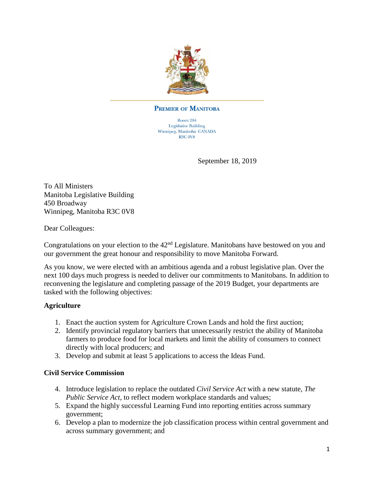

#### **PREMIER OF MANITOBA**

Room 204 **Legislative Building** Winnipeg, Manitoba CANADA **R3C 0V8** 

September 18, 2019

To All Ministers Manitoba Legislative Building 450 Broadway Winnipeg, Manitoba R3C 0V8

Dear Colleagues:

Congratulations on your election to the  $42<sup>nd</sup>$  Legislature. Manitobans have bestowed on you and our government the great honour and responsibility to move Manitoba Forward.

As you know, we were elected with an ambitious agenda and a robust legislative plan. Over the next 100 days much progress is needed to deliver our commitments to Manitobans. In addition to reconvening the legislature and completing passage of the 2019 Budget, your departments are tasked with the following objectives:

### **Agriculture**

- 1. Enact the auction system for Agriculture Crown Lands and hold the first auction;
- 2. Identify provincial regulatory barriers that unnecessarily restrict the ability of Manitoba farmers to produce food for local markets and limit the ability of consumers to connect directly with local producers; and
- 3. Develop and submit at least 5 applications to access the Ideas Fund.

#### **Civil Service Commission**

- 4. Introduce legislation to replace the outdated *Civil Service Act* with a new statute, *The Public Service Act,* to reflect modern workplace standards and values;
- 5. Expand the highly successful Learning Fund into reporting entities across summary government;
- 6. Develop a plan to modernize the job classification process within central government and across summary government; and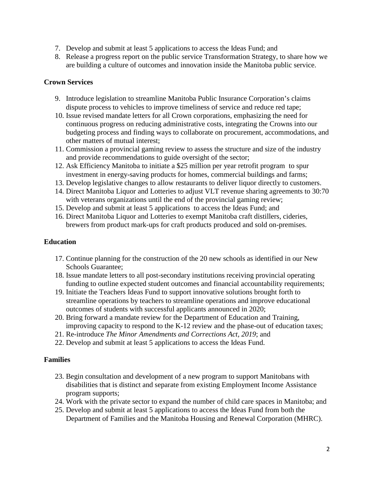- 7. Develop and submit at least 5 applications to access the Ideas Fund; and
- 8. Release a progress report on the public service Transformation Strategy, to share how we are building a culture of outcomes and innovation inside the Manitoba public service.

# **Crown Services**

- 9. Introduce legislation to streamline Manitoba Public Insurance Corporation's claims dispute process to vehicles to improve timeliness of service and reduce red tape;
- 10. Issue revised mandate letters for all Crown corporations, emphasizing the need for continuous progress on reducing administrative costs, integrating the Crowns into our budgeting process and finding ways to collaborate on procurement, accommodations, and other matters of mutual interest;
- 11. Commission a provincial gaming review to assess the structure and size of the industry and provide recommendations to guide oversight of the sector;
- 12. Ask Efficiency Manitoba to initiate a \$25 million per year retrofit program to spur investment in energy-saving products for homes, commercial buildings and farms;
- 13. Develop legislative changes to allow restaurants to deliver liquor directly to customers.
- 14. Direct Manitoba Liquor and Lotteries to adjust VLT revenue sharing agreements to 30:70 with veterans organizations until the end of the provincial gaming review;
- 15. Develop and submit at least 5 applications to access the Ideas Fund; and
- 16. Direct Manitoba Liquor and Lotteries to exempt Manitoba craft distillers, cideries, brewers from product mark-ups for craft products produced and sold on-premises.

# **Education**

- 17. Continue planning for the construction of the 20 new schools as identified in our New Schools Guarantee;
- 18. Issue mandate letters to all post-secondary institutions receiving provincial operating funding to outline expected student outcomes and financial accountability requirements;
- 19. Initiate the Teachers Ideas Fund to support innovative solutions brought forth to streamline operations by teachers to streamline operations and improve educational outcomes of students with successful applicants announced in 2020;
- 20. Bring forward a mandate review for the Department of Education and Training, improving capacity to respond to the K-12 review and the phase-out of education taxes;
- 21. Re-introduce *The Minor Amendments and Corrections Act, 2019*; and
- 22. Develop and submit at least 5 applications to access the Ideas Fund.

### **Families**

- 23. Begin consultation and development of a new program to support Manitobans with disabilities that is distinct and separate from existing Employment Income Assistance program supports;
- 24. Work with the private sector to expand the number of child care spaces in Manitoba; and
- 25. Develop and submit at least 5 applications to access the Ideas Fund from both the Department of Families and the Manitoba Housing and Renewal Corporation (MHRC).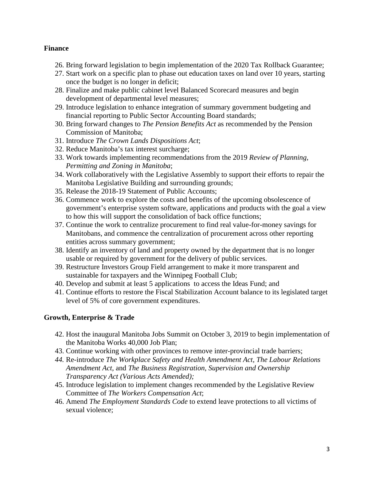#### **Finance**

- 26. Bring forward legislation to begin implementation of the 2020 Tax Rollback Guarantee;
- 27. Start work on a specific plan to phase out education taxes on land over 10 years, starting once the budget is no longer in deficit;
- 28. Finalize and make public cabinet level Balanced Scorecard measures and begin development of departmental level measures;
- 29. Introduce legislation to enhance integration of summary government budgeting and financial reporting to Public Sector Accounting Board standards;
- 30. Bring forward changes to *The Pension Benefits Act* as recommended by the Pension Commission of Manitoba;
- 31. Introduce *The Crown Lands Dispositions Act*;
- 32. Reduce Manitoba's tax interest surcharge;
- 33. Work towards implementing recommendations from the 2019 *Review of Planning, Permitting and Zoning in Manitoba*;
- 34. Work collaboratively with the Legislative Assembly to support their efforts to repair the Manitoba Legislative Building and surrounding grounds;
- 35. Release the 2018-19 Statement of Public Accounts;
- 36. Commence work to explore the costs and benefits of the upcoming obsolescence of government's enterprise system software, applications and products with the goal a view to how this will support the consolidation of back office functions;
- 37. Continue the work to centralize procurement to find real value-for-money savings for Manitobans, and commence the centralization of procurement across other reporting entities across summary government;
- 38. Identify an inventory of land and property owned by the department that is no longer usable or required by government for the delivery of public services.
- 39. Restructure Investors Group Field arrangement to make it more transparent and sustainable for taxpayers and the Winnipeg Football Club;
- 40. Develop and submit at least 5 applications to access the Ideas Fund; and
- 41. Continue efforts to restore the Fiscal Stabilization Account balance to its legislated target level of 5% of core government expenditures.

### **Growth, Enterprise & Trade**

- 42. Host the inaugural Manitoba Jobs Summit on October 3, 2019 to begin implementation of the Manitoba Works 40,000 Job Plan;
- 43. Continue working with other provinces to remove inter-provincial trade barriers;
- *44.* Re-introduce *The Workplace Safety and Health Amendment Act, The Labour Relations Amendment Act,* and *The Business Registration, Supervision and Ownership Transparency Act (Various Acts Amended);*
- 45. Introduce legislation to implement changes recommended by the Legislative Review Committee of *The Workers Compensation Act*;
- 46. Amend *The Employment Standards Code* to extend leave protections to all victims of sexual violence;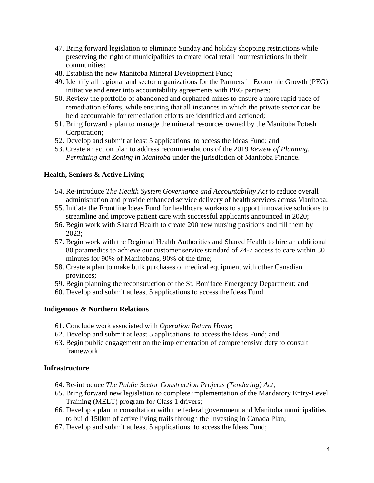- 47. Bring forward legislation to eliminate Sunday and holiday shopping restrictions while preserving the right of municipalities to create local retail hour restrictions in their communities;
- 48. Establish the new Manitoba Mineral Development Fund;
- 49. Identify all regional and sector organizations for the Partners in Economic Growth (PEG) initiative and enter into accountability agreements with PEG partners;
- 50. Review the portfolio of abandoned and orphaned mines to ensure a more rapid pace of remediation efforts, while ensuring that all instances in which the private sector can be held accountable for remediation efforts are identified and actioned;
- 51. Bring forward a plan to manage the mineral resources owned by the Manitoba Potash Corporation;
- 52. Develop and submit at least 5 applications to access the Ideas Fund; and
- 53. Create an action plan to address recommendations of the 2019 *Review of Planning, Permitting and Zoning in Manitoba* under the jurisdiction of Manitoba Finance.

### **Health, Seniors & Active Living**

- 54. Re-introduce *The Health System Governance and Accountability Act* to reduce overall administration and provide enhanced service delivery of health services across Manitoba;
- 55. Initiate the Frontline Ideas Fund for healthcare workers to support innovative solutions to streamline and improve patient care with successful applicants announced in 2020;
- 56. Begin work with Shared Health to create 200 new nursing positions and fill them by 2023;
- 57. Begin work with the Regional Health Authorities and Shared Health to hire an additional 80 paramedics to achieve our customer service standard of 24-7 access to care within 30 minutes for 90% of Manitobans, 90% of the time;
- 58. Create a plan to make bulk purchases of medical equipment with other Canadian provinces;
- 59. Begin planning the reconstruction of the St. Boniface Emergency Department; and
- 60. Develop and submit at least 5 applications to access the Ideas Fund.

### **Indigenous & Northern Relations**

- 61. Conclude work associated with *Operation Return Home*;
- 62. Develop and submit at least 5 applications to access the Ideas Fund; and
- 63. Begin public engagement on the implementation of comprehensive duty to consult framework.

### **Infrastructure**

- 64. Re-introduce *The Public Sector Construction Projects (Tendering) Act;*
- 65. Bring forward new legislation to complete implementation of the Mandatory Entry-Level Training (MELT) program for Class 1 drivers;
- 66. Develop a plan in consultation with the federal government and Manitoba municipalities to build 150km of active living trails through the Investing in Canada Plan;
- 67. Develop and submit at least 5 applications to access the Ideas Fund;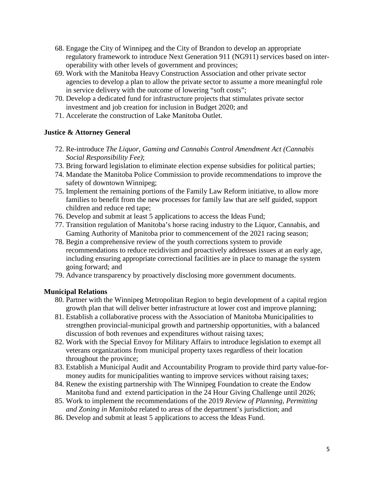- 68. Engage the City of Winnipeg and the City of Brandon to develop an appropriate regulatory framework to introduce Next Generation 911 (NG911) services based on interoperability with other levels of government and provinces;
- 69. Work with the Manitoba Heavy Construction Association and other private sector agencies to develop a plan to allow the private sector to assume a more meaningful role in service delivery with the outcome of lowering "soft costs";
- 70. Develop a dedicated fund for infrastructure projects that stimulates private sector investment and job creation for inclusion in Budget 2020; and
- 71. Accelerate the construction of Lake Manitoba Outlet.

# **Justice & Attorney General**

- 72. Re-introduce *The Liquor, Gaming and Cannabis Control Amendment Act (Cannabis Social Responsibility Fee)*;
- 73. Bring forward legislation to eliminate election expense subsidies for political parties;
- 74. Mandate the Manitoba Police Commission to provide recommendations to improve the safety of downtown Winnipeg;
- 75. Implement the remaining portions of the Family Law Reform initiative, to allow more families to benefit from the new processes for family law that are self guided, support children and reduce red tape;
- 76. Develop and submit at least 5 applications to access the Ideas Fund;
- 77. Transition regulation of Manitoba's horse racing industry to the Liquor, Cannabis, and Gaming Authority of Manitoba prior to commencement of the 2021 racing season;
- 78. Begin a comprehensive review of the youth corrections system to provide recommendations to reduce recidivism and proactively addresses issues at an early age, including ensuring appropriate correctional facilities are in place to manage the system going forward; and
- 79. Advance transparency by proactively disclosing more government documents.

### **Municipal Relations**

- 80. Partner with the Winnipeg Metropolitan Region to begin development of a capital region growth plan that will deliver better infrastructure at lower cost and improve planning;
- 81. Establish a collaborative process with the Association of Manitoba Municipalities to strengthen provincial-municipal growth and partnership opportunities, with a balanced discussion of both revenues and expenditures without raising taxes;
- 82. Work with the Special Envoy for Military Affairs to introduce legislation to exempt all veterans organizations from municipal property taxes regardless of their location throughout the province;
- 83. Establish a Municipal Audit and Accountability Program to provide third party value-formoney audits for municipalities wanting to improve services without raising taxes;
- 84. Renew the existing partnership with The Winnipeg Foundation to create the Endow Manitoba fund and extend participation in the 24 Hour Giving Challenge until 2026;
- 85. Work to implement the recommendations of the 2019 *Review of Planning, Permitting and Zoning in Manitoba* related to areas of the department's jurisdiction; and
- 86. Develop and submit at least 5 applications to access the Ideas Fund.